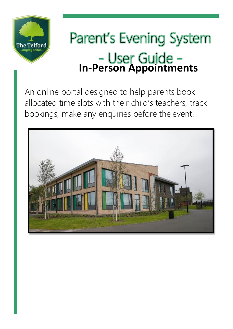

# **Parent's Evening System In-Person Appointments**

An online portal designed to help parents book allocated time slots with their child's teachers, track bookings, make any enquiries before the event.

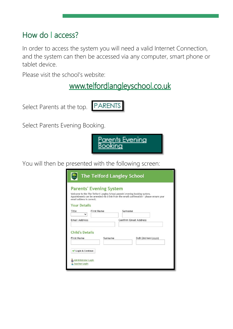#### How do | access?

In order to access the system you will need a valid Internet Connection, and the system can then be accessed via any computer, smart phone or tablet device.

Please visit the school's website:

www.telfordlangleyschool.co.uk

Select Parents at the top. PARENTS

Select Parents Evening Booking.

<u>Parents Evening</u> Bookina

You will then be presented with the following screen:

| <b>The Telford Langley School</b><br>$rac{1}{2}$                                                                                                                                                                                                            |                   |                              |  |  |  |
|-------------------------------------------------------------------------------------------------------------------------------------------------------------------------------------------------------------------------------------------------------------|-------------------|------------------------------|--|--|--|
| <b>Parents' Evening System</b><br>Welcome to the The Telford Langley School parents' evening booking system.<br>Appointments can be amended via a link from the email confirmation - please ensure your<br>email address is correct.<br><b>Your Details</b> |                   |                              |  |  |  |
| Title<br>◡                                                                                                                                                                                                                                                  | <b>First Name</b> | Surname                      |  |  |  |
| <b>Email Address</b>                                                                                                                                                                                                                                        |                   | <b>Confirm Email Address</b> |  |  |  |
| <b>Child's Details</b><br><b>First Name</b>                                                                                                                                                                                                                 | Surname           | DoB (dd/mm/yyyy)             |  |  |  |
| Login & Continue                                                                                                                                                                                                                                            |                   |                              |  |  |  |
| 2 Administrator Login<br>Teacher Login                                                                                                                                                                                                                      |                   |                              |  |  |  |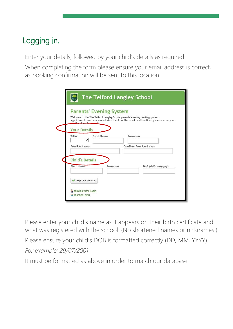## Logging in.

Enter your details, followed by your child's details as required.

When completing the form please ensure your email address is correct, as booking confirmation will be sent to this location.

| <b>Parents' Evening System</b><br>Welcome to the The Telford Langley School parents' evening booking system.<br>Appointments can be amended via a link from the email confirmation - please ensure your |                   |                              |  |  |
|---------------------------------------------------------------------------------------------------------------------------------------------------------------------------------------------------------|-------------------|------------------------------|--|--|
| <b>Your Details</b>                                                                                                                                                                                     |                   |                              |  |  |
| Title                                                                                                                                                                                                   | <b>First Name</b> | Surname                      |  |  |
| <b>Email Address</b>                                                                                                                                                                                    |                   | <b>Confirm Email Address</b> |  |  |
| <b>Child's Details</b><br><b>First Name</b>                                                                                                                                                             | Surname           |                              |  |  |
|                                                                                                                                                                                                         |                   | DoB (dd/mm/yyyy)             |  |  |
| Login & Continue<br>v                                                                                                                                                                                   |                   |                              |  |  |
| 2 Administrator Login<br>Teacher Login                                                                                                                                                                  |                   |                              |  |  |

Please enter your child's name as it appears on their birth certificate and what was registered with the school. (No shortened names or nicknames.) Please ensure your child's DOB is formatted correctly (DD, MM, YYYY). *For example: 29/07/2001*

It must be formatted as above in order to match our database.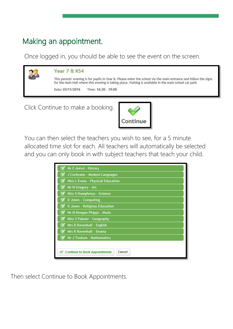### Making an appointment.

Once logged in, you should be able to see the event on the screen.

| This parents' evening is for pupils in Year 8. Please enter the school via the main entrance and follow the signs<br>for the Main Hall where this evening is taking place. Parking is available in the main school car park<br>Time: 16:30 - 19:00<br>Date: 03/11/2016 | <b>A</b> | Year 7 & KS4 |  |  |
|------------------------------------------------------------------------------------------------------------------------------------------------------------------------------------------------------------------------------------------------------------------------|----------|--------------|--|--|
|                                                                                                                                                                                                                                                                        |          |              |  |  |
|                                                                                                                                                                                                                                                                        |          |              |  |  |

Click Continue to make a booking.



You can then select the teachers you wish to see, for a 5 minute allocated time slot for each. All teachers will automatically be selected and you can only book in with subject teachers that teach your child.

| Mr E Antwi - History                               |  |  |
|----------------------------------------------------|--|--|
| J Cochrane - Modern Languages                      |  |  |
| Miss L Evans - Physical Education                  |  |  |
| Mr N Gregory - Art                                 |  |  |
| Miss S Humphreys - Science                         |  |  |
| D Jones - Computing                                |  |  |
| D Jones - Religious Education                      |  |  |
| Mr M Keegan-Phipps - Music<br>$\blacktriangledown$ |  |  |
| Miss S Palmer - Geography                          |  |  |
| Mrs R Ravenhall - English                          |  |  |
| Mrs R Ravenhall - Drama                            |  |  |
| Mr J Toulson - Mathematics                         |  |  |
|                                                    |  |  |
| Cancel<br>Continue to Book Appointments            |  |  |

Then select Continue to Book Appointments.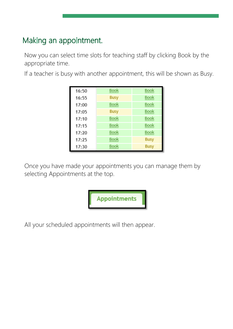### Making an appointment.

Now you can select time slots for teaching staff by clicking Book by the appropriate time.

If a teacher is busy with another appointment, this will be shown as Busy.

| 16:50 | <b>Book</b> | Book        |
|-------|-------------|-------------|
| 16:55 | <b>Busy</b> | <b>Book</b> |
| 17:00 | <b>Book</b> | <b>Book</b> |
| 17:05 | <b>Busy</b> | <b>Book</b> |
| 17:10 | <b>Book</b> | <b>Book</b> |
| 17:15 | Book        | <b>Book</b> |
| 17:20 | <b>Book</b> | <b>Book</b> |
| 17:25 | Book        | <b>Busy</b> |
| 17:30 | <b>Book</b> | <b>Busy</b> |

Once you have made your appointments you can manage them by selecting Appointments at the top.



All your scheduled appointments will then appear.